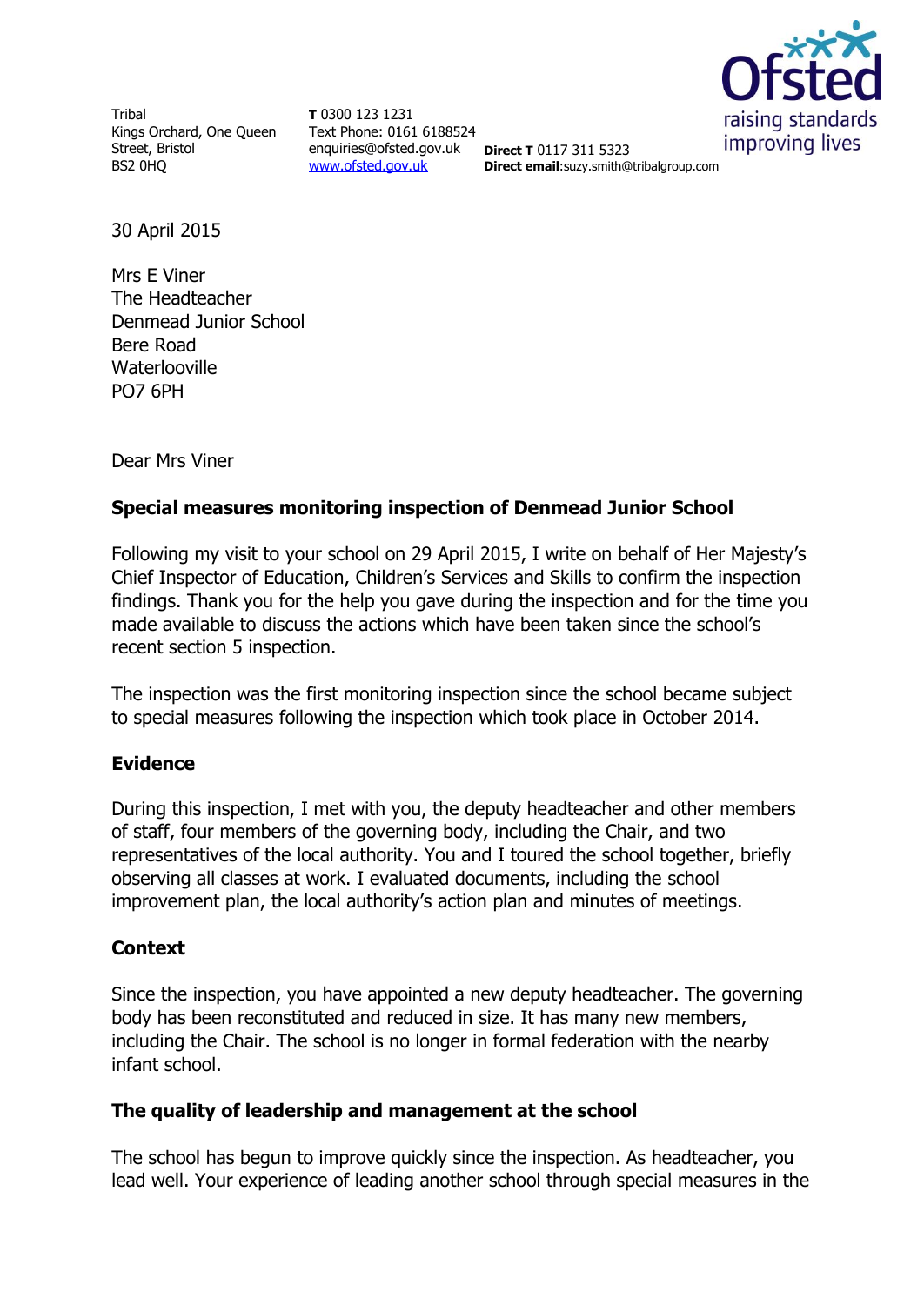Tribal Kings Orchard, One Queen Street, Bristol BS2 0HQ

**T** 0300 123 1231 Text Phone: 0161 6188524 enquiries@ofsted.gov.uk **Direct T** 0117 311 5323 [www.ofsted.gov.uk](http://www.ofsted.gov.uk/)



**Direct email**:suzy.smith@tribalgroup.com

30 April 2015

Mrs E Viner The Headteacher Denmead Junior School Bere Road Waterlooville PO7 6PH

Dear Mrs Viner

## **Special measures monitoring inspection of Denmead Junior School**

Following my visit to your school on 29 April 2015, I write on behalf of Her Majesty's Chief Inspector of Education, Children's Services and Skills to confirm the inspection findings. Thank you for the help you gave during the inspection and for the time you made available to discuss the actions which have been taken since the school's recent section 5 inspection.

The inspection was the first monitoring inspection since the school became subject to special measures following the inspection which took place in October 2014.

## **Evidence**

During this inspection, I met with you, the deputy headteacher and other members of staff, four members of the governing body, including the Chair, and two representatives of the local authority. You and I toured the school together, briefly observing all classes at work. I evaluated documents, including the school improvement plan, the local authority's action plan and minutes of meetings.

## **Context**

Since the inspection, you have appointed a new deputy headteacher. The governing body has been reconstituted and reduced in size. It has many new members, including the Chair. The school is no longer in formal federation with the nearby infant school.

## **The quality of leadership and management at the school**

The school has begun to improve quickly since the inspection. As headteacher, you lead well. Your experience of leading another school through special measures in the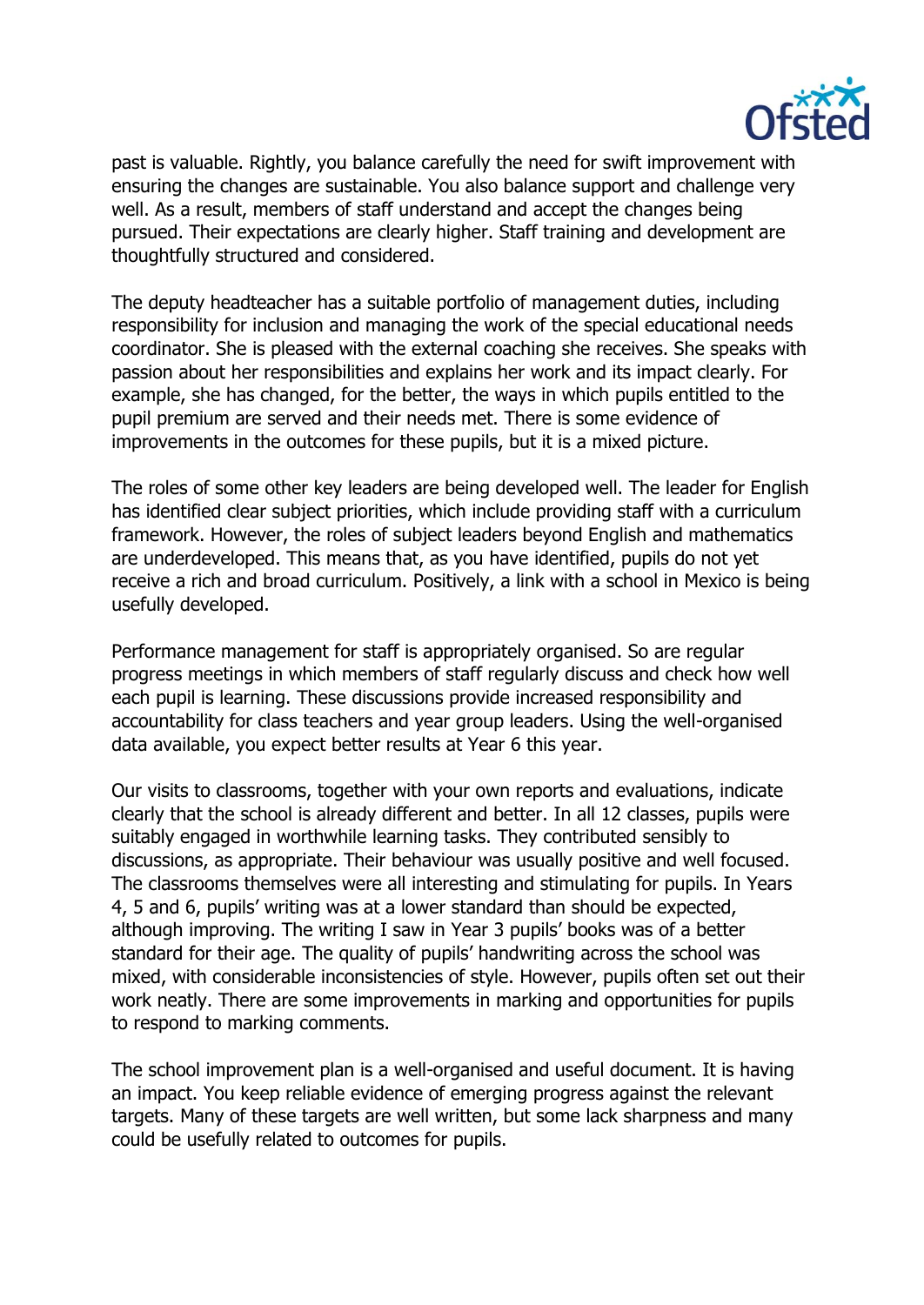

past is valuable. Rightly, you balance carefully the need for swift improvement with ensuring the changes are sustainable. You also balance support and challenge very well. As a result, members of staff understand and accept the changes being pursued. Their expectations are clearly higher. Staff training and development are thoughtfully structured and considered.

The deputy headteacher has a suitable portfolio of management duties, including responsibility for inclusion and managing the work of the special educational needs coordinator. She is pleased with the external coaching she receives. She speaks with passion about her responsibilities and explains her work and its impact clearly. For example, she has changed, for the better, the ways in which pupils entitled to the pupil premium are served and their needs met. There is some evidence of improvements in the outcomes for these pupils, but it is a mixed picture.

The roles of some other key leaders are being developed well. The leader for English has identified clear subject priorities, which include providing staff with a curriculum framework. However, the roles of subject leaders beyond English and mathematics are underdeveloped. This means that, as you have identified, pupils do not yet receive a rich and broad curriculum. Positively, a link with a school in Mexico is being usefully developed.

Performance management for staff is appropriately organised. So are regular progress meetings in which members of staff regularly discuss and check how well each pupil is learning. These discussions provide increased responsibility and accountability for class teachers and year group leaders. Using the well-organised data available, you expect better results at Year 6 this year.

Our visits to classrooms, together with your own reports and evaluations, indicate clearly that the school is already different and better. In all 12 classes, pupils were suitably engaged in worthwhile learning tasks. They contributed sensibly to discussions, as appropriate. Their behaviour was usually positive and well focused. The classrooms themselves were all interesting and stimulating for pupils. In Years 4, 5 and 6, pupils' writing was at a lower standard than should be expected, although improving. The writing I saw in Year 3 pupils' books was of a better standard for their age. The quality of pupils' handwriting across the school was mixed, with considerable inconsistencies of style. However, pupils often set out their work neatly. There are some improvements in marking and opportunities for pupils to respond to marking comments.

The school improvement plan is a well-organised and useful document. It is having an impact. You keep reliable evidence of emerging progress against the relevant targets. Many of these targets are well written, but some lack sharpness and many could be usefully related to outcomes for pupils.